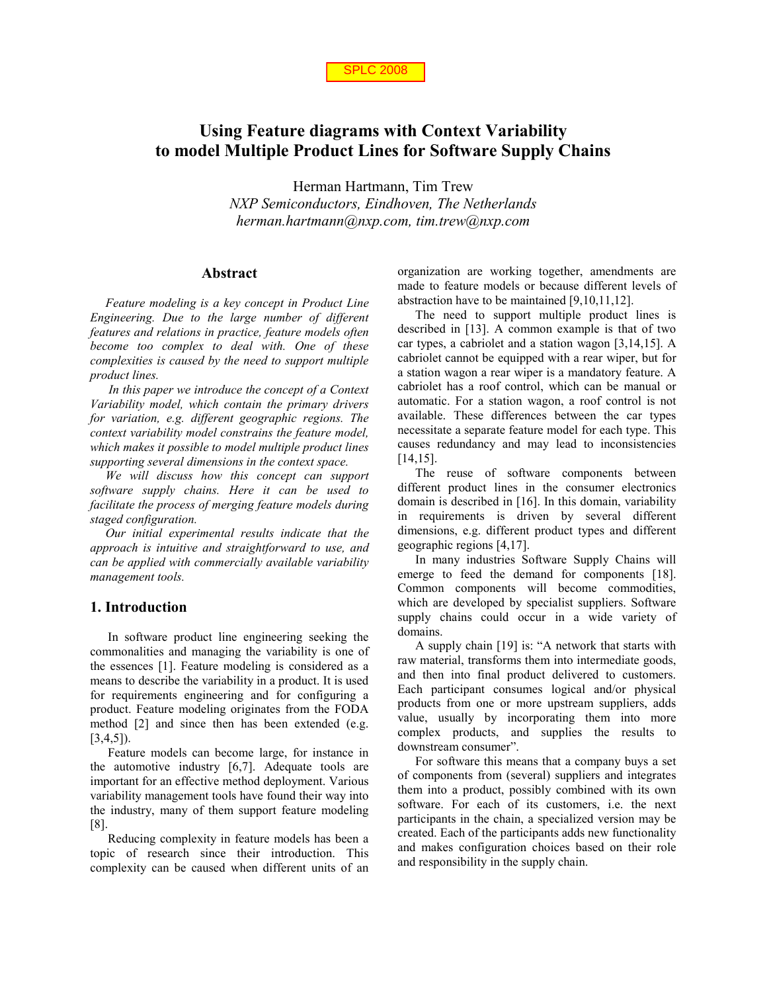

# **Using Feature diagrams with Context Variability to model Multiple Product Lines for Software Supply Chains**

Herman Hartmann, Tim Trew *NXP Semiconductors, Eindhoven, The Netherlands herman.hartmann@nxp.com, tim.trew@nxp.com* 

#### **Abstract**

*Feature modeling is a key concept in Product Line Engineering. Due to the large number of different features and relations in practice, feature models often become too complex to deal with. One of these complexities is caused by the need to support multiple product lines.* 

 *In this paper we introduce the concept of a Context Variability model, which contain the primary drivers for variation, e.g. different geographic regions. The context variability model constrains the feature model, which makes it possible to model multiple product lines supporting several dimensions in the context space.* 

*We will discuss how this concept can support software supply chains. Here it can be used to facilitate the process of merging feature models during staged configuration.* 

*Our initial experimental results indicate that the approach is intuitive and straightforward to use, and can be applied with commercially available variability management tools.* 

### **1. Introduction**

In software product line engineering seeking the commonalities and managing the variability is one of the essences [1]. Feature modeling is considered as a means to describe the variability in a product. It is used for requirements engineering and for configuring a product. Feature modeling originates from the FODA method [2] and since then has been extended (e.g. [3,4,5]).

Feature models can become large, for instance in the automotive industry [6,7]. Adequate tools are important for an effective method deployment. Various variability management tools have found their way into the industry, many of them support feature modeling [8].

Reducing complexity in feature models has been a topic of research since their introduction. This complexity can be caused when different units of an organization are working together, amendments are made to feature models or because different levels of abstraction have to be maintained [9,10,11,12].

The need to support multiple product lines is described in [13]. A common example is that of two car types, a cabriolet and a station wagon [3,14,15]. A cabriolet cannot be equipped with a rear wiper, but for a station wagon a rear wiper is a mandatory feature. A cabriolet has a roof control, which can be manual or automatic. For a station wagon, a roof control is not available. These differences between the car types necessitate a separate feature model for each type. This causes redundancy and may lead to inconsistencies  $[14, 15]$ .

The reuse of software components between different product lines in the consumer electronics domain is described in [16]. In this domain, variability in requirements is driven by several different dimensions, e.g. different product types and different geographic regions [4,17].

In many industries Software Supply Chains will emerge to feed the demand for components [18]. Common components will become commodities, which are developed by specialist suppliers. Software supply chains could occur in a wide variety of domains.

A supply chain [19] is: "A network that starts with raw material, transforms them into intermediate goods, and then into final product delivered to customers. Each participant consumes logical and/or physical products from one or more upstream suppliers, adds value, usually by incorporating them into more complex products, and supplies the results to downstream consumer".

For software this means that a company buys a set of components from (several) suppliers and integrates them into a product, possibly combined with its own software. For each of its customers, i.e. the next participants in the chain, a specialized version may be created. Each of the participants adds new functionality and makes configuration choices based on their role and responsibility in the supply chain.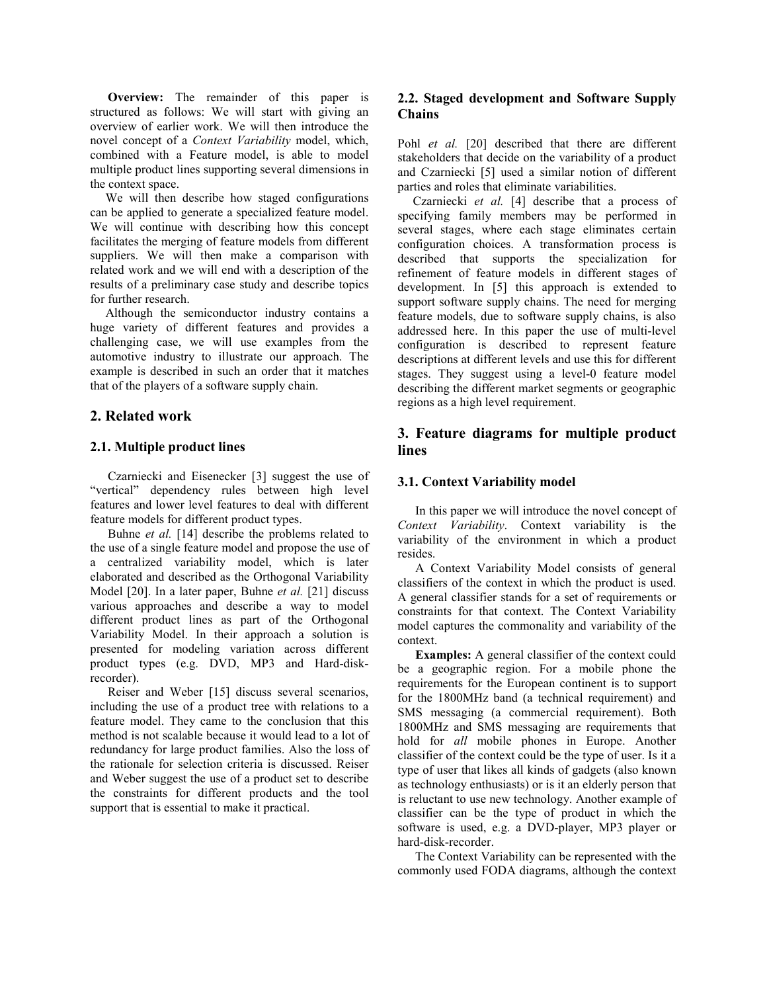**Overview:** The remainder of this paper is structured as follows: We will start with giving an overview of earlier work. We will then introduce the novel concept of a *Context Variability* model, which, combined with a Feature model, is able to model multiple product lines supporting several dimensions in the context space.

We will then describe how staged configurations can be applied to generate a specialized feature model. We will continue with describing how this concept facilitates the merging of feature models from different suppliers. We will then make a comparison with related work and we will end with a description of the results of a preliminary case study and describe topics for further research.

Although the semiconductor industry contains a huge variety of different features and provides a challenging case, we will use examples from the automotive industry to illustrate our approach. The example is described in such an order that it matches that of the players of a software supply chain.

# **2. Related work**

### **2.1. Multiple product lines**

Czarniecki and Eisenecker [3] suggest the use of "vertical" dependency rules between high level features and lower level features to deal with different feature models for different product types.

Buhne *et al.* [14] describe the problems related to the use of a single feature model and propose the use of a centralized variability model, which is later elaborated and described as the Orthogonal Variability Model [20]. In a later paper, Buhne *et al.* [21] discuss various approaches and describe a way to model different product lines as part of the Orthogonal Variability Model. In their approach a solution is presented for modeling variation across different product types (e.g. DVD, MP3 and Hard-diskrecorder).

Reiser and Weber [15] discuss several scenarios, including the use of a product tree with relations to a feature model. They came to the conclusion that this method is not scalable because it would lead to a lot of redundancy for large product families. Also the loss of the rationale for selection criteria is discussed. Reiser and Weber suggest the use of a product set to describe the constraints for different products and the tool support that is essential to make it practical.

# **2.2. Staged development and Software Supply Chains**

Pohl *et al.* [20] described that there are different stakeholders that decide on the variability of a product and Czarniecki [5] used a similar notion of different parties and roles that eliminate variabilities.

Czarniecki *et al.* [4] describe that a process of specifying family members may be performed in several stages, where each stage eliminates certain configuration choices. A transformation process is described that supports the specialization for refinement of feature models in different stages of development. In [5] this approach is extended to support software supply chains. The need for merging feature models, due to software supply chains, is also addressed here. In this paper the use of multi-level configuration is described to represent feature descriptions at different levels and use this for different stages. They suggest using a level-0 feature model describing the different market segments or geographic regions as a high level requirement.

# **3. Feature diagrams for multiple product lines**

# **3.1. Context Variability model**

In this paper we will introduce the novel concept of *Context Variability*. Context variability is the variability of the environment in which a product resides.

A Context Variability Model consists of general classifiers of the context in which the product is used. A general classifier stands for a set of requirements or constraints for that context. The Context Variability model captures the commonality and variability of the context.

**Examples:** A general classifier of the context could be a geographic region. For a mobile phone the requirements for the European continent is to support for the 1800MHz band (a technical requirement) and SMS messaging (a commercial requirement). Both 1800MHz and SMS messaging are requirements that hold for *all* mobile phones in Europe. Another classifier of the context could be the type of user. Is it a type of user that likes all kinds of gadgets (also known as technology enthusiasts) or is it an elderly person that is reluctant to use new technology. Another example of classifier can be the type of product in which the software is used, e.g. a DVD-player, MP3 player or hard-disk-recorder.

The Context Variability can be represented with the commonly used FODA diagrams, although the context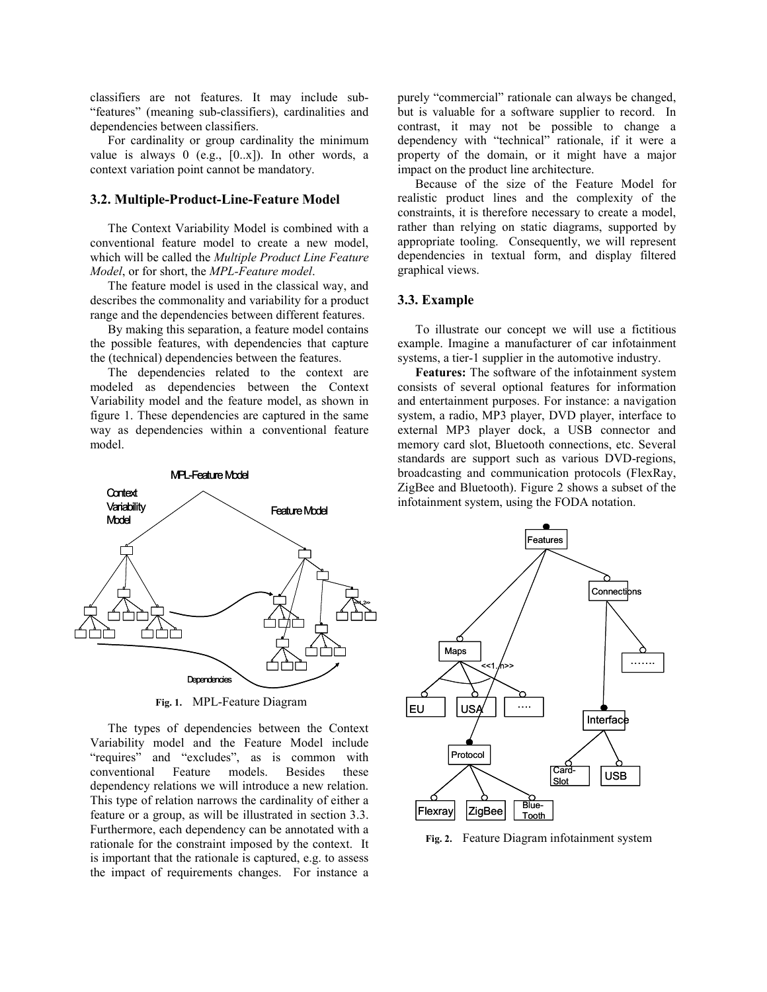classifiers are not features. It may include sub- "features" (meaning sub-classifiers), cardinalities and dependencies between classifiers.

For cardinality or group cardinality the minimum value is always 0 (e.g., [0..x]). In other words, a context variation point cannot be mandatory.

#### **3.2. Multiple-Product-Line-Feature Model**

The Context Variability Model is combined with a conventional feature model to create a new model, which will be called the *Multiple Product Line Feature Model*, or for short, the *MPL-Feature model*.

The feature model is used in the classical way, and describes the commonality and variability for a product range and the dependencies between different features.

By making this separation, a feature model contains the possible features, with dependencies that capture the (technical) dependencies between the features.

The dependencies related to the context are modeled as dependencies between the Context Variability model and the feature model, as shown in figure 1. These dependencies are captured in the same way as dependencies within a conventional feature model.



**Fig. 1.** MPL-Feature Diagram

The types of dependencies between the Context Variability model and the Feature Model include "requires" and "excludes", as is common with conventional Feature models. Besides these dependency relations we will introduce a new relation. This type of relation narrows the cardinality of either a feature or a group, as will be illustrated in section 3.3. Furthermore, each dependency can be annotated with a rationale for the constraint imposed by the context. It is important that the rationale is captured, e.g. to assess the impact of requirements changes. For instance a purely "commercial" rationale can always be changed, but is valuable for a software supplier to record. In contrast, it may not be possible to change a dependency with "technical" rationale, if it were a property of the domain, or it might have a major impact on the product line architecture.

Because of the size of the Feature Model for realistic product lines and the complexity of the constraints, it is therefore necessary to create a model, rather than relying on static diagrams, supported by appropriate tooling. Consequently, we will represent dependencies in textual form, and display filtered graphical views.

#### **3.3. Example**

To illustrate our concept we will use a fictitious example. Imagine a manufacturer of car infotainment systems, a tier-1 supplier in the automotive industry.

**Features:** The software of the infotainment system consists of several optional features for information and entertainment purposes. For instance: a navigation system, a radio, MP3 player, DVD player, interface to external MP3 player dock, a USB connector and memory card slot, Bluetooth connections, etc. Several standards are support such as various DVD-regions, broadcasting and communication protocols (FlexRay, ZigBee and Bluetooth). Figure 2 shows a subset of the infotainment system, using the FODA notation.



**Fig. 2.** Feature Diagram infotainment system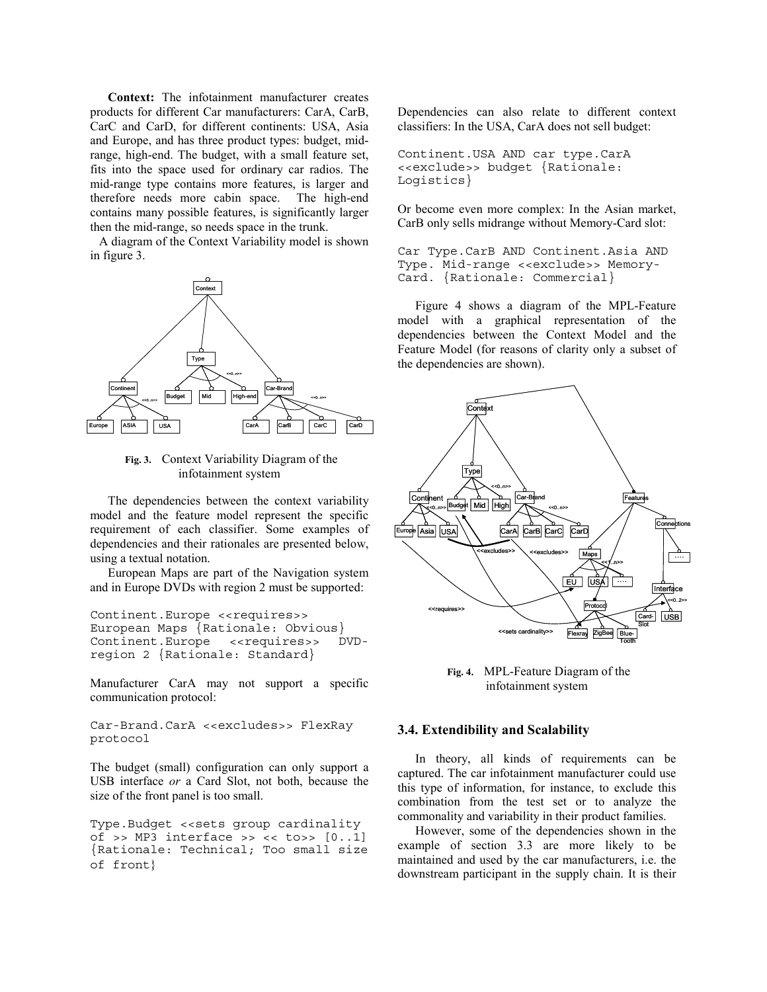**Context:** The infotainment manufacturer creates products for different Car manufacturers: CarA, CarB, CarC and CarD, for different continents: USA, Asia and Europe, and has three product types: budget, midrange, high-end. The budget, with a small feature set, fits into the space used for ordinary car radios. The mid-range type contains more features, is larger and therefore needs more cabin space. The high-end contains many possible features, is significantly larger then the mid-range, so needs space in the trunk.

A diagram of the Context Variability model is shown in figure 3.



**Fig. 3.** Context Variability Diagram of the infotainment system

The dependencies between the context variability model and the feature model represent the specific requirement of each classifier. Some examples of dependencies and their rationales are presented below, using a textual notation.

European Maps are part of the Navigation system and in Europe DVDs with region 2 must be supported:

Continent.Europe <<requires>> European Maps {Rationale: Obvious} Continent.Europe <<requires>> DVDregion 2 {Rationale: Standard}

Manufacturer CarA may not support a specific communication protocol:

```
Car-Brand.CarA <<excludes>> FlexRay 
protocol
```
The budget (small) configuration can only support a USB interface *or* a Card Slot, not both, because the size of the front panel is too small.

Type.Budget << sets group cardinality of >> MP3 interface >> << to>>  $[0..1]$ {Rationale: Technical; Too small size of front}

Dependencies can also relate to different context classifiers: In the USA, CarA does not sell budget:

Continent.USA AND car type.CarA <<exclude>> budget {Rationale: Logistics}

Or become even more complex: In the Asian market, CarB only sells midrange without Memory-Card slot:

Car Type.CarB AND Continent.Asia AND Type. Mid-range <<exclude>> Memory-Card. {Rationale: Commercial}

Figure 4 shows a diagram of the MPL-Feature model with a graphical representation of the dependencies between the Context Model and the Feature Model (for reasons of clarity only a subset of the dependencies are shown).



**Fig. 4.** MPL-Feature Diagram of the infotainment system

#### **3.4. Extendibility and Scalability**

In theory, all kinds of requirements can be captured. The car infotainment manufacturer could use this type of information, for instance, to exclude this combination from the test set or to analyze the commonality and variability in their product families.

However, some of the dependencies shown in the example of section 3.3 are more likely to be maintained and used by the car manufacturers, i.e. the downstream participant in the supply chain. It is their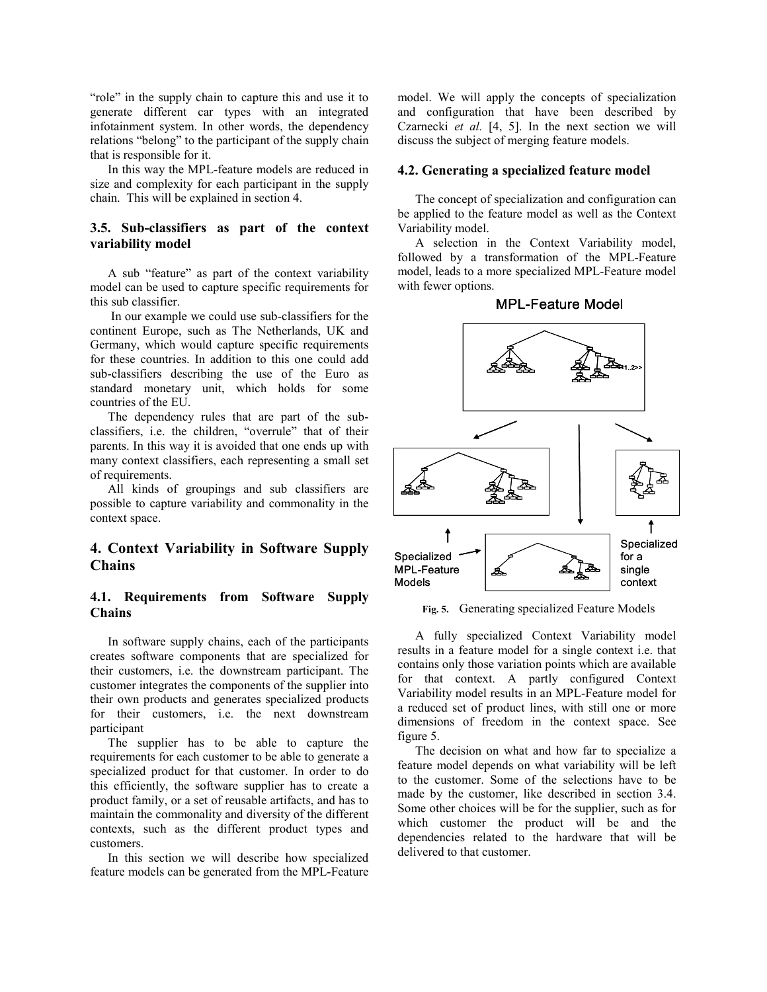"role" in the supply chain to capture this and use it to generate different car types with an integrated infotainment system. In other words, the dependency relations "belong" to the participant of the supply chain that is responsible for it.

In this way the MPL-feature models are reduced in size and complexity for each participant in the supply chain. This will be explained in section 4.

### **3.5. Sub-classifiers as part of the context variability model**

A sub "feature" as part of the context variability model can be used to capture specific requirements for this sub classifier.

 In our example we could use sub-classifiers for the continent Europe, such as The Netherlands, UK and Germany, which would capture specific requirements for these countries. In addition to this one could add sub-classifiers describing the use of the Euro as standard monetary unit, which holds for some countries of the EU.

The dependency rules that are part of the subclassifiers, i.e. the children, "overrule" that of their parents. In this way it is avoided that one ends up with many context classifiers, each representing a small set of requirements.

All kinds of groupings and sub classifiers are possible to capture variability and commonality in the context space.

# **4. Context Variability in Software Supply Chains**

# **4.1. Requirements from Software Supply Chains**

In software supply chains, each of the participants creates software components that are specialized for their customers, i.e. the downstream participant. The customer integrates the components of the supplier into their own products and generates specialized products for their customers, i.e. the next downstream participant

The supplier has to be able to capture the requirements for each customer to be able to generate a specialized product for that customer. In order to do this efficiently, the software supplier has to create a product family, or a set of reusable artifacts, and has to maintain the commonality and diversity of the different contexts, such as the different product types and customers.

In this section we will describe how specialized feature models can be generated from the MPL-Feature

model. We will apply the concepts of specialization and configuration that have been described by Czarnecki *et al.* [4, 5]. In the next section we will discuss the subject of merging feature models.

#### **4.2. Generating a specialized feature model**

The concept of specialization and configuration can be applied to the feature model as well as the Context Variability model.

A selection in the Context Variability model, followed by a transformation of the MPL-Feature model, leads to a more specialized MPL-Feature model with fewer options.



### MPL-Feature Model

**Fig. 5.** Generating specialized Feature Models

A fully specialized Context Variability model results in a feature model for a single context i.e. that contains only those variation points which are available for that context. A partly configured Context Variability model results in an MPL-Feature model for a reduced set of product lines, with still one or more dimensions of freedom in the context space. See figure 5.

The decision on what and how far to specialize a feature model depends on what variability will be left to the customer. Some of the selections have to be made by the customer, like described in section 3.4. Some other choices will be for the supplier, such as for which customer the product will be and the dependencies related to the hardware that will be delivered to that customer.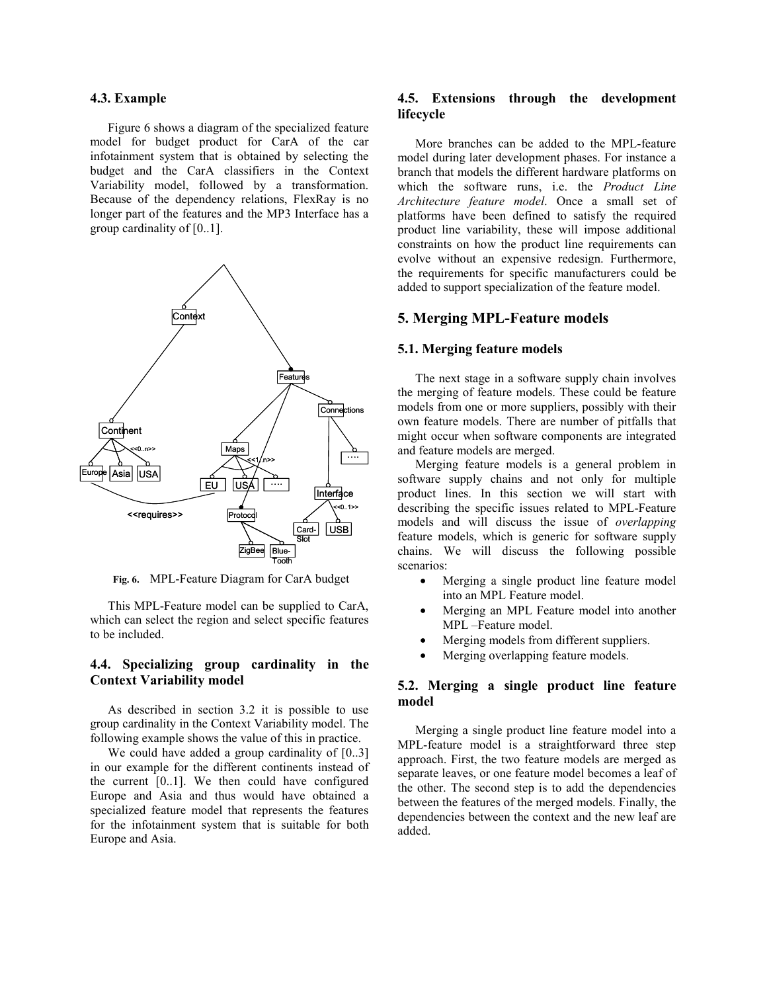#### **4.3. Example**

Figure 6 shows a diagram of the specialized feature model for budget product for CarA of the car infotainment system that is obtained by selecting the budget and the CarA classifiers in the Context Variability model, followed by a transformation. Because of the dependency relations, FlexRay is no longer part of the features and the MP3 Interface has a group cardinality of [0..1].



**Fig. 6.** MPL-Feature Diagram for CarA budget

This MPL-Feature model can be supplied to CarA, which can select the region and select specific features to be included.

### **4.4. Specializing group cardinality in the Context Variability model**

As described in section 3.2 it is possible to use group cardinality in the Context Variability model. The following example shows the value of this in practice.

We could have added a group cardinality of [0..3] in our example for the different continents instead of the current [0..1]. We then could have configured Europe and Asia and thus would have obtained a specialized feature model that represents the features for the infotainment system that is suitable for both Europe and Asia.

#### **4.5. Extensions through the development lifecycle**

More branches can be added to the MPL-feature model during later development phases. For instance a branch that models the different hardware platforms on which the software runs, i.e. the *Product Line Architecture feature model*. Once a small set of platforms have been defined to satisfy the required product line variability, these will impose additional constraints on how the product line requirements can evolve without an expensive redesign. Furthermore, the requirements for specific manufacturers could be added to support specialization of the feature model.

### **5. Merging MPL-Feature models**

# **5.1. Merging feature models**

The next stage in a software supply chain involves the merging of feature models. These could be feature models from one or more suppliers, possibly with their own feature models. There are number of pitfalls that might occur when software components are integrated and feature models are merged.

Merging feature models is a general problem in software supply chains and not only for multiple product lines. In this section we will start with describing the specific issues related to MPL-Feature models and will discuss the issue of *overlapping* feature models, which is generic for software supply chains. We will discuss the following possible scenarios:

- Merging a single product line feature model into an MPL Feature model.
- Merging an MPL Feature model into another MPL –Feature model.
- Merging models from different suppliers.
- Merging overlapping feature models.

### **5.2. Merging a single product line feature model**

Merging a single product line feature model into a MPL-feature model is a straightforward three step approach. First, the two feature models are merged as separate leaves, or one feature model becomes a leaf of the other. The second step is to add the dependencies between the features of the merged models. Finally, the dependencies between the context and the new leaf are added.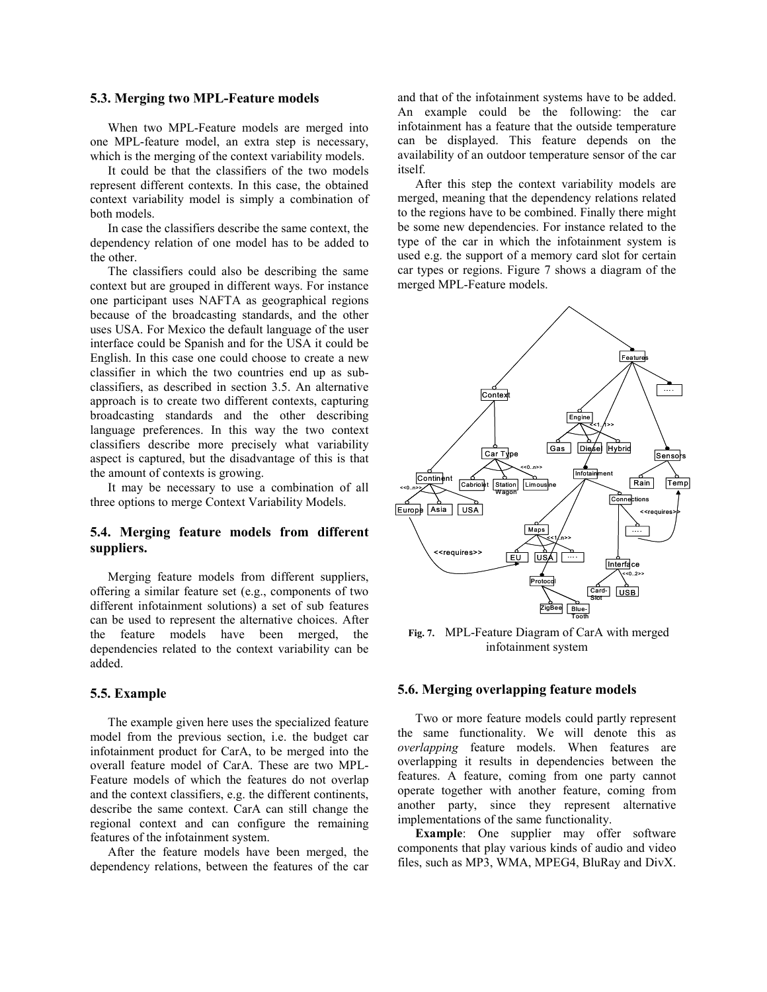#### **5.3. Merging two MPL-Feature models**

When two MPL-Feature models are merged into one MPL-feature model, an extra step is necessary, which is the merging of the context variability models.

It could be that the classifiers of the two models represent different contexts. In this case, the obtained context variability model is simply a combination of both models.

In case the classifiers describe the same context, the dependency relation of one model has to be added to the other.

The classifiers could also be describing the same context but are grouped in different ways. For instance one participant uses NAFTA as geographical regions because of the broadcasting standards, and the other uses USA. For Mexico the default language of the user interface could be Spanish and for the USA it could be English. In this case one could choose to create a new classifier in which the two countries end up as subclassifiers, as described in section 3.5. An alternative approach is to create two different contexts, capturing broadcasting standards and the other describing language preferences. In this way the two context classifiers describe more precisely what variability aspect is captured, but the disadvantage of this is that the amount of contexts is growing.

It may be necessary to use a combination of all three options to merge Context Variability Models.

# **5.4. Merging feature models from different suppliers.**

Merging feature models from different suppliers, offering a similar feature set (e.g., components of two different infotainment solutions) a set of sub features can be used to represent the alternative choices. After the feature models have been merged, the dependencies related to the context variability can be added.

#### **5.5. Example**

The example given here uses the specialized feature model from the previous section, i.e. the budget car infotainment product for CarA, to be merged into the overall feature model of CarA. These are two MPL-Feature models of which the features do not overlap and the context classifiers, e.g. the different continents, describe the same context. CarA can still change the regional context and can configure the remaining features of the infotainment system.

After the feature models have been merged, the dependency relations, between the features of the car and that of the infotainment systems have to be added. An example could be the following: the car infotainment has a feature that the outside temperature can be displayed. This feature depends on the availability of an outdoor temperature sensor of the car itself.

After this step the context variability models are merged, meaning that the dependency relations related to the regions have to be combined. Finally there might be some new dependencies. For instance related to the type of the car in which the infotainment system is used e.g. the support of a memory card slot for certain car types or regions. Figure 7 shows a diagram of the merged MPL-Feature models.



**Fig. 7.** MPL-Feature Diagram of CarA with merged infotainment system

#### **5.6. Merging overlapping feature models**

Two or more feature models could partly represent the same functionality. We will denote this as *overlapping* feature models. When features are overlapping it results in dependencies between the features. A feature, coming from one party cannot operate together with another feature, coming from another party, since they represent alternative implementations of the same functionality.

**Example**: One supplier may offer software components that play various kinds of audio and video files, such as MP3, WMA, MPEG4, BluRay and DivX.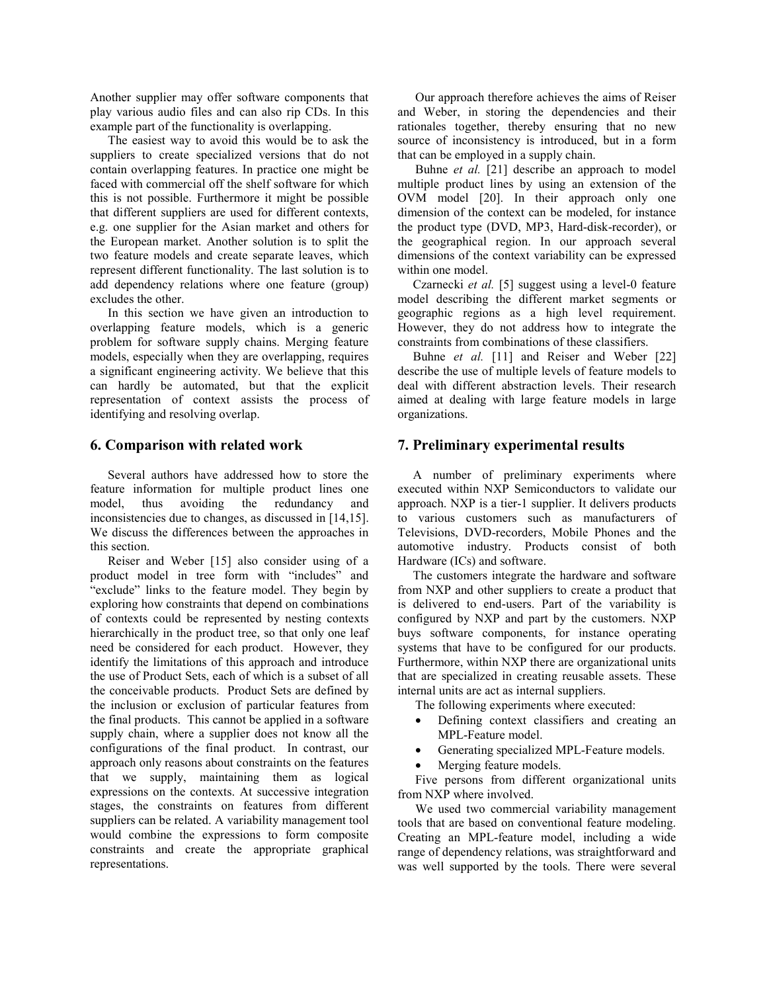Another supplier may offer software components that play various audio files and can also rip CDs. In this example part of the functionality is overlapping.

The easiest way to avoid this would be to ask the suppliers to create specialized versions that do not contain overlapping features. In practice one might be faced with commercial off the shelf software for which this is not possible. Furthermore it might be possible that different suppliers are used for different contexts, e.g. one supplier for the Asian market and others for the European market. Another solution is to split the two feature models and create separate leaves, which represent different functionality. The last solution is to add dependency relations where one feature (group) excludes the other.

In this section we have given an introduction to overlapping feature models, which is a generic problem for software supply chains. Merging feature models, especially when they are overlapping, requires a significant engineering activity. We believe that this can hardly be automated, but that the explicit representation of context assists the process of identifying and resolving overlap.

# **6. Comparison with related work**

Several authors have addressed how to store the feature information for multiple product lines one model, thus avoiding the redundancy and inconsistencies due to changes, as discussed in [14,15]. We discuss the differences between the approaches in this section.

Reiser and Weber [15] also consider using of a product model in tree form with "includes" and "exclude" links to the feature model. They begin by exploring how constraints that depend on combinations of contexts could be represented by nesting contexts hierarchically in the product tree, so that only one leaf need be considered for each product. However, they identify the limitations of this approach and introduce the use of Product Sets, each of which is a subset of all the conceivable products. Product Sets are defined by the inclusion or exclusion of particular features from the final products. This cannot be applied in a software supply chain, where a supplier does not know all the configurations of the final product. In contrast, our approach only reasons about constraints on the features that we supply, maintaining them as logical expressions on the contexts. At successive integration stages, the constraints on features from different suppliers can be related. A variability management tool would combine the expressions to form composite constraints and create the appropriate graphical representations.

Our approach therefore achieves the aims of Reiser and Weber, in storing the dependencies and their rationales together, thereby ensuring that no new source of inconsistency is introduced, but in a form that can be employed in a supply chain.

Buhne *et al.* [21] describe an approach to model multiple product lines by using an extension of the OVM model [20]. In their approach only one dimension of the context can be modeled, for instance the product type (DVD, MP3, Hard-disk-recorder), or the geographical region. In our approach several dimensions of the context variability can be expressed within one model.

Czarnecki *et al.* [5] suggest using a level-0 feature model describing the different market segments or geographic regions as a high level requirement. However, they do not address how to integrate the constraints from combinations of these classifiers.

Buhne *et al.* [11] and Reiser and Weber [22] describe the use of multiple levels of feature models to deal with different abstraction levels. Their research aimed at dealing with large feature models in large organizations.

# **7. Preliminary experimental results**

A number of preliminary experiments where executed within NXP Semiconductors to validate our approach. NXP is a tier-1 supplier. It delivers products to various customers such as manufacturers of Televisions, DVD-recorders, Mobile Phones and the automotive industry. Products consist of both Hardware (ICs) and software.

The customers integrate the hardware and software from NXP and other suppliers to create a product that is delivered to end-users. Part of the variability is configured by NXP and part by the customers. NXP buys software components, for instance operating systems that have to be configured for our products. Furthermore, within NXP there are organizational units that are specialized in creating reusable assets. These internal units are act as internal suppliers.

The following experiments where executed:

- Defining context classifiers and creating an MPL-Feature model.
- Generating specialized MPL-Feature models.
- Merging feature models.

Five persons from different organizational units from NXP where involved.

We used two commercial variability management tools that are based on conventional feature modeling. Creating an MPL-feature model, including a wide range of dependency relations, was straightforward and was well supported by the tools. There were several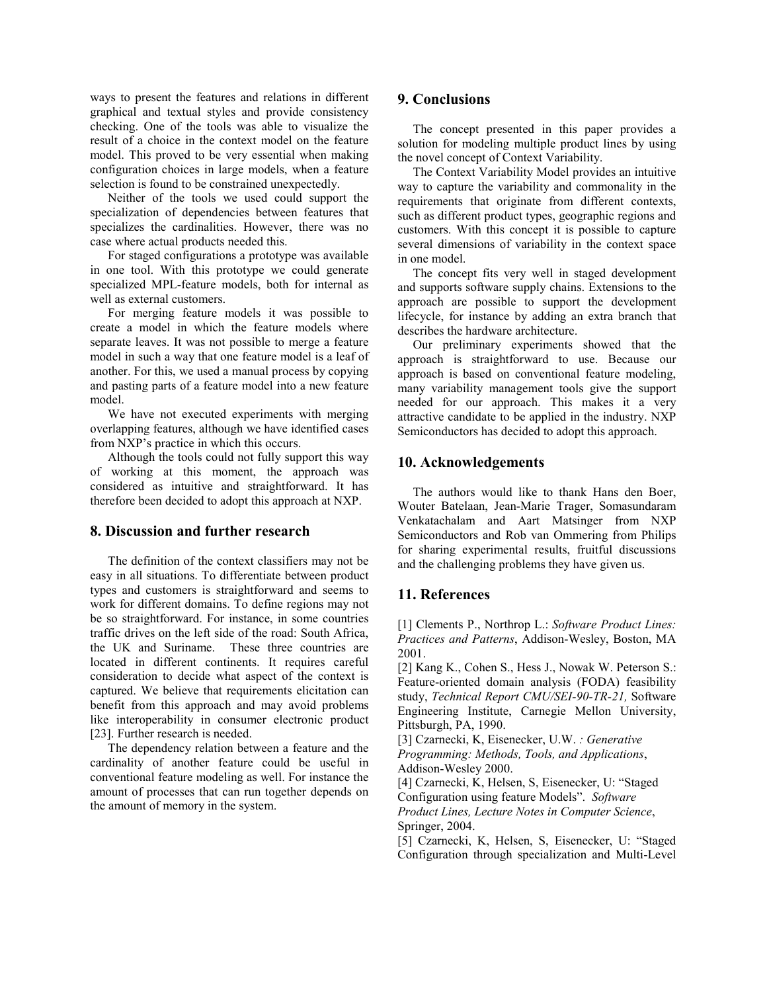ways to present the features and relations in different graphical and textual styles and provide consistency checking. One of the tools was able to visualize the result of a choice in the context model on the feature model. This proved to be very essential when making configuration choices in large models, when a feature selection is found to be constrained unexpectedly.

Neither of the tools we used could support the specialization of dependencies between features that specializes the cardinalities. However, there was no case where actual products needed this.

For staged configurations a prototype was available in one tool. With this prototype we could generate specialized MPL-feature models, both for internal as well as external customers.

For merging feature models it was possible to create a model in which the feature models where separate leaves. It was not possible to merge a feature model in such a way that one feature model is a leaf of another. For this, we used a manual process by copying and pasting parts of a feature model into a new feature model.

We have not executed experiments with merging overlapping features, although we have identified cases from NXP's practice in which this occurs.

Although the tools could not fully support this way of working at this moment, the approach was considered as intuitive and straightforward. It has therefore been decided to adopt this approach at NXP.

# **8. Discussion and further research**

The definition of the context classifiers may not be easy in all situations. To differentiate between product types and customers is straightforward and seems to work for different domains. To define regions may not be so straightforward. For instance, in some countries traffic drives on the left side of the road: South Africa, the UK and Suriname. These three countries are located in different continents. It requires careful consideration to decide what aspect of the context is captured. We believe that requirements elicitation can benefit from this approach and may avoid problems like interoperability in consumer electronic product [23]. Further research is needed.

The dependency relation between a feature and the cardinality of another feature could be useful in conventional feature modeling as well. For instance the amount of processes that can run together depends on the amount of memory in the system.

#### **9. Conclusions**

The concept presented in this paper provides a solution for modeling multiple product lines by using the novel concept of Context Variability.

The Context Variability Model provides an intuitive way to capture the variability and commonality in the requirements that originate from different contexts, such as different product types, geographic regions and customers. With this concept it is possible to capture several dimensions of variability in the context space in one model.

The concept fits very well in staged development and supports software supply chains. Extensions to the approach are possible to support the development lifecycle, for instance by adding an extra branch that describes the hardware architecture.

Our preliminary experiments showed that the approach is straightforward to use. Because our approach is based on conventional feature modeling, many variability management tools give the support needed for our approach. This makes it a very attractive candidate to be applied in the industry. NXP Semiconductors has decided to adopt this approach.

#### **10. Acknowledgements**

The authors would like to thank Hans den Boer, Wouter Batelaan, Jean-Marie Trager, Somasundaram Venkatachalam and Aart Matsinger from NXP Semiconductors and Rob van Ommering from Philips for sharing experimental results, fruitful discussions and the challenging problems they have given us.

#### **11. References**

[1] Clements P., Northrop L.: *Software Product Lines: Practices and Patterns*, Addison-Wesley, Boston, MA 2001.

[2] Kang K., Cohen S., Hess J., Nowak W. Peterson S.: Feature-oriented domain analysis (FODA) feasibility study, *Technical Report CMU/SEI-90-TR-21,* Software Engineering Institute, Carnegie Mellon University, Pittsburgh, PA, 1990.

[3] Czarnecki, K, Eisenecker, U.W. *: Generative Programming: Methods, Tools, and Applications*, Addison-Wesley 2000.

[4] Czarnecki, K, Helsen, S, Eisenecker, U: "Staged Configuration using feature Models". *Software Product Lines, Lecture Notes in Computer Science*, Springer, 2004.

[5] Czarnecki, K, Helsen, S, Eisenecker, U: "Staged Configuration through specialization and Multi-Level